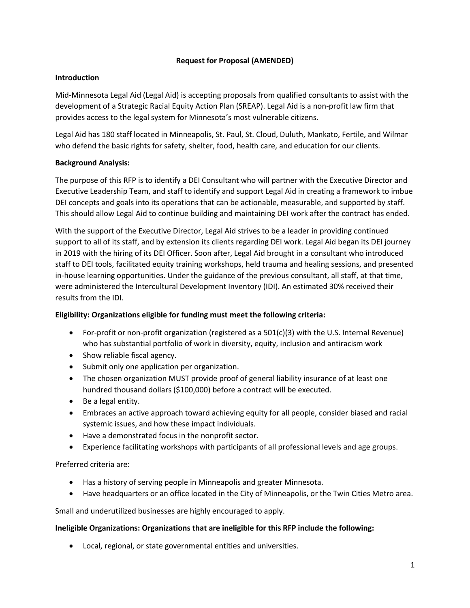### **Request for Proposal (AMENDED)**

### **Introduction**

Mid-Minnesota Legal Aid (Legal Aid) is accepting proposals from qualified consultants to assist with the development of a Strategic Racial Equity Action Plan (SREAP). Legal Aid is a non-profit law firm that provides access to the legal system for Minnesota's most vulnerable citizens.

Legal Aid has 180 staff located in Minneapolis, St. Paul, St. Cloud, Duluth, Mankato, Fertile, and Wilmar who defend the basic rights for safety, shelter, food, health care, and education for our clients.

# **Background Analysis:**

The purpose of this RFP is to identify a DEI Consultant who will partner with the Executive Director and Executive Leadership Team, and staff to identify and support Legal Aid in creating a framework to imbue DEI concepts and goals into its operations that can be actionable, measurable, and supported by staff. This should allow Legal Aid to continue building and maintaining DEI work after the contract has ended.

With the support of the Executive Director, Legal Aid strives to be a leader in providing continued support to all of its staff, and by extension its clients regarding DEI work. Legal Aid began its DEI journey in 2019 with the hiring of its DEI Officer. Soon after, Legal Aid brought in a consultant who introduced staff to DEI tools, facilitated equity training workshops, held trauma and healing sessions, and presented in-house learning opportunities. Under the guidance of the previous consultant, all staff, at that time, were administered the Intercultural Development Inventory (IDI). An estimated 30% received their results from the IDI.

# **Eligibility: Organizations eligible for funding must meet the following criteria:**

- For-profit or non-profit organization (registered as a 501(c)(3) with the U.S. Internal Revenue) who has substantial portfolio of work in diversity, equity, inclusion and antiracism work
- Show reliable fiscal agency.
- Submit only one application per organization.
- The chosen organization MUST provide proof of general liability insurance of at least one hundred thousand dollars (\$100,000) before a contract will be executed.
- Be a legal entity.
- Embraces an active approach toward achieving equity for all people, consider biased and racial systemic issues, and how these impact individuals.
- Have a demonstrated focus in the nonprofit sector.
- Experience facilitating workshops with participants of all professional levels and age groups.

# Preferred criteria are:

- Has a history of serving people in Minneapolis and greater Minnesota.
- Have headquarters or an office located in the City of Minneapolis, or the Twin Cities Metro area.

Small and underutilized businesses are highly encouraged to apply.

# **Ineligible Organizations: Organizations that are ineligible for this RFP include the following:**

• Local, regional, or state governmental entities and universities.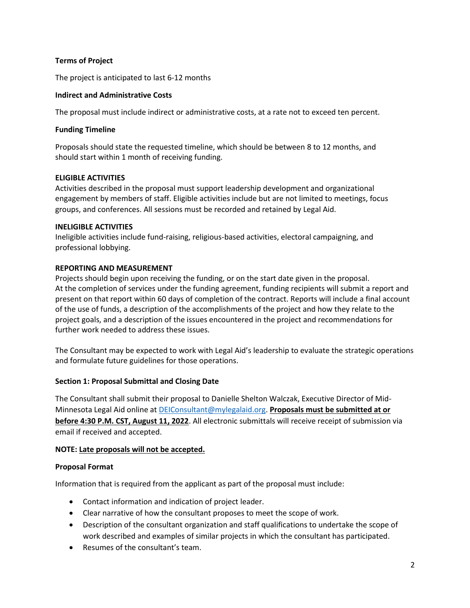### **Terms of Project**

The project is anticipated to last 6-12 months

### **Indirect and Administrative Costs**

The proposal must include indirect or administrative costs, at a rate not to exceed ten percent.

### **Funding Timeline**

Proposals should state the requested timeline, which should be between 8 to 12 months, and should start within 1 month of receiving funding.

### **ELIGIBLE ACTIVITIES**

Activities described in the proposal must support leadership development and organizational engagement by members of staff. Eligible activities include but are not limited to meetings, focus groups, and conferences. All sessions must be recorded and retained by Legal Aid.

### **INELIGIBLE ACTIVITIES**

Ineligible activities include fund-raising, religious-based activities, electoral campaigning, and professional lobbying.

### **REPORTING AND MEASUREMENT**

Projects should begin upon receiving the funding, or on the start date given in the proposal. At the completion of services under the funding agreement, funding recipients will submit a report and present on that report within 60 days of completion of the contract. Reports will include a final account of the use of funds, a description of the accomplishments of the project and how they relate to the project goals, and a description of the issues encountered in the project and recommendations for further work needed to address these issues.

The Consultant may be expected to work with Legal Aid's leadership to evaluate the strategic operations and formulate future guidelines for those operations.

### **Section 1: Proposal Submittal and Closing Date**

The Consultant shall submit their proposal to Danielle Shelton Walczak, Executive Director of Mid-Minnesota Legal Aid online at [DEIConsultant@mylegalaid.org.](mailto:DEIConsultant@mylegalaid.org) **Proposals must be submitted at or before 4:30 P.M. CST, August 11, 2022**. All electronic submittals will receive receipt of submission via email if received and accepted.

### **NOTE: Late proposals will not be accepted.**

### **Proposal Format**

Information that is required from the applicant as part of the proposal must include:

- Contact information and indication of project leader.
- Clear narrative of how the consultant proposes to meet the scope of work.
- Description of the consultant organization and staff qualifications to undertake the scope of work described and examples of similar projects in which the consultant has participated.
- Resumes of the consultant's team.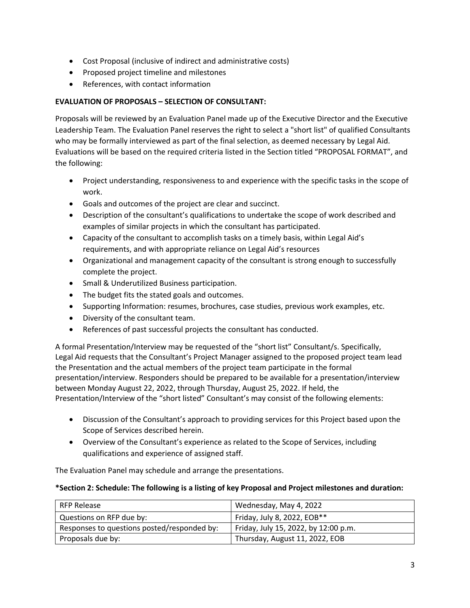- Cost Proposal (inclusive of indirect and administrative costs)
- Proposed project timeline and milestones
- References, with contact information

# **EVALUATION OF PROPOSALS – SELECTION OF CONSULTANT:**

Proposals will be reviewed by an Evaluation Panel made up of the Executive Director and the Executive Leadership Team. The Evaluation Panel reserves the right to select a "short list" of qualified Consultants who may be formally interviewed as part of the final selection, as deemed necessary by Legal Aid. Evaluations will be based on the required criteria listed in the Section titled "PROPOSAL FORMAT", and the following:

- Project understanding, responsiveness to and experience with the specific tasks in the scope of work.
- Goals and outcomes of the project are clear and succinct.
- Description of the consultant's qualifications to undertake the scope of work described and examples of similar projects in which the consultant has participated.
- Capacity of the consultant to accomplish tasks on a timely basis, within Legal Aid's requirements, and with appropriate reliance on Legal Aid's resources
- Organizational and management capacity of the consultant is strong enough to successfully complete the project.
- Small & Underutilized Business participation.
- The budget fits the stated goals and outcomes.
- Supporting Information: resumes, brochures, case studies, previous work examples, etc.
- Diversity of the consultant team.
- References of past successful projects the consultant has conducted.

A formal Presentation/Interview may be requested of the "short list" Consultant/s. Specifically, Legal Aid requests that the Consultant's Project Manager assigned to the proposed project team lead the Presentation and the actual members of the project team participate in the formal presentation/interview. Responders should be prepared to be available for a presentation/interview between Monday August 22, 2022, through Thursday, August 25, 2022. If held, the Presentation/Interview of the "short listed" Consultant's may consist of the following elements:

- Discussion of the Consultant's approach to providing services for this Project based upon the Scope of Services described herein.
- Overview of the Consultant's experience as related to the Scope of Services, including qualifications and experience of assigned staff.

The Evaluation Panel may schedule and arrange the presentations.

### **\*Section 2: Schedule: The following is a listing of key Proposal and Project milestones and duration:**

| <b>RFP Release</b>                          | Wednesday, May 4, 2022               |
|---------------------------------------------|--------------------------------------|
| Questions on RFP due by:                    | Friday, July 8, 2022, EOB**          |
| Responses to questions posted/responded by: | Friday, July 15, 2022, by 12:00 p.m. |
| Proposals due by:                           | Thursday, August 11, 2022, EOB       |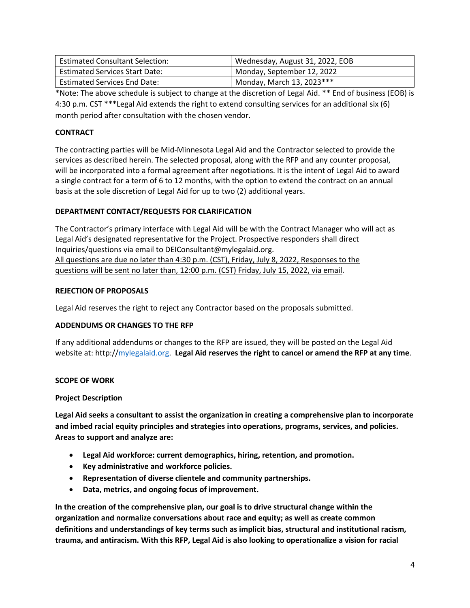| <b>Estimated Consultant Selection:</b> | Wednesday, August 31, 2022, EOB |
|----------------------------------------|---------------------------------|
| <b>Estimated Services Start Date:</b>  | Monday, September 12, 2022      |
| <b>Estimated Services End Date:</b>    | Monday, March 13, 2023***       |

\*Note: The above schedule is subject to change at the discretion of Legal Aid. \*\* End of business (EOB) is 4:30 p.m. CST \*\*\*Legal Aid extends the right to extend consulting services for an additional six (6) month period after consultation with the chosen vendor.

# **CONTRACT**

The contracting parties will be Mid-Minnesota Legal Aid and the Contractor selected to provide the services as described herein. The selected proposal, along with the RFP and any counter proposal, will be incorporated into a formal agreement after negotiations. It is the intent of Legal Aid to award a single contract for a term of 6 to 12 months, with the option to extend the contract on an annual basis at the sole discretion of Legal Aid for up to two (2) additional years.

# **DEPARTMENT CONTACT/REQUESTS FOR CLARIFICATION**

The Contractor's primary interface with Legal Aid will be with the Contract Manager who will act as Legal Aid's designated representative for the Project. Prospective responders shall direct Inquiries/questions via email to DEIConsultant@mylegalaid.org. All questions are due no later than 4:30 p.m. (CST), Friday, July 8, 2022, Responses to the questions will be sent no later than, 12:00 p.m. (CST) Friday, July 15, 2022, via email.

### **REJECTION OF PROPOSALS**

Legal Aid reserves the right to reject any Contractor based on the proposals submitted.

# **ADDENDUMS OR CHANGES TO THE RFP**

If any additional addendums or changes to the RFP are issued, they will be posted on the Legal Aid website at: [http://mylegalaid.org.](http://mylegalaid.org/) **Legal Aid reserves the right to cancel or amend the RFP at any time**.

### **SCOPE OF WORK**

### **Project Description**

**Legal Aid seeks a consultant to assist the organization in creating a comprehensive plan to incorporate and imbed racial equity principles and strategies into operations, programs, services, and policies. Areas to support and analyze are:**

- **Legal Aid workforce: current demographics, hiring, retention, and promotion.**
- **Key administrative and workforce policies.**
- **Representation of diverse clientele and community partnerships.**
- **Data, metrics, and ongoing focus of improvement.**

**In the creation of the comprehensive plan, our goal is to drive structural change within the organization and normalize conversations about race and equity; as well as create common definitions and understandings of key terms such as implicit bias, structural and institutional racism, trauma, and antiracism. With this RFP, Legal Aid is also looking to operationalize a vision for racial**